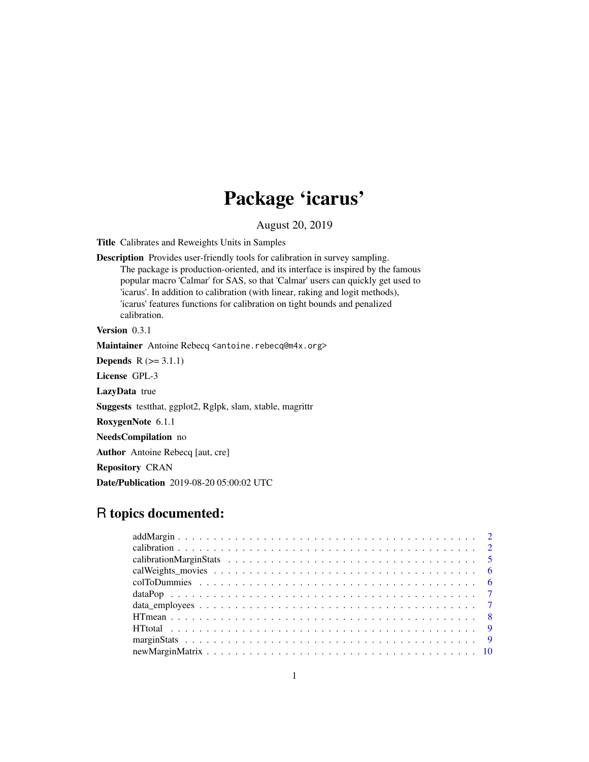# Package 'icarus'

August 20, 2019

Title Calibrates and Reweights Units in Samples

Description Provides user-friendly tools for calibration in survey sampling. The package is production-oriented, and its interface is inspired by the famous popular macro 'Calmar' for SAS, so that 'Calmar' users can quickly get used to 'icarus'. In addition to calibration (with linear, raking and logit methods), 'icarus' features functions for calibration on tight bounds and penalized calibration.

Version 0.3.1

Maintainer Antoine Rebecq <antoine.rebecq@m4x.org>

**Depends**  $R$  ( $>= 3.1.1$ )

License GPL-3

LazyData true

Suggests testthat, ggplot2, Rglpk, slam, xtable, magrittr

RoxygenNote 6.1.1

NeedsCompilation no

Author Antoine Rebecq [aut, cre]

Repository CRAN

Date/Publication 2019-08-20 05:00:02 UTC

# R topics documented: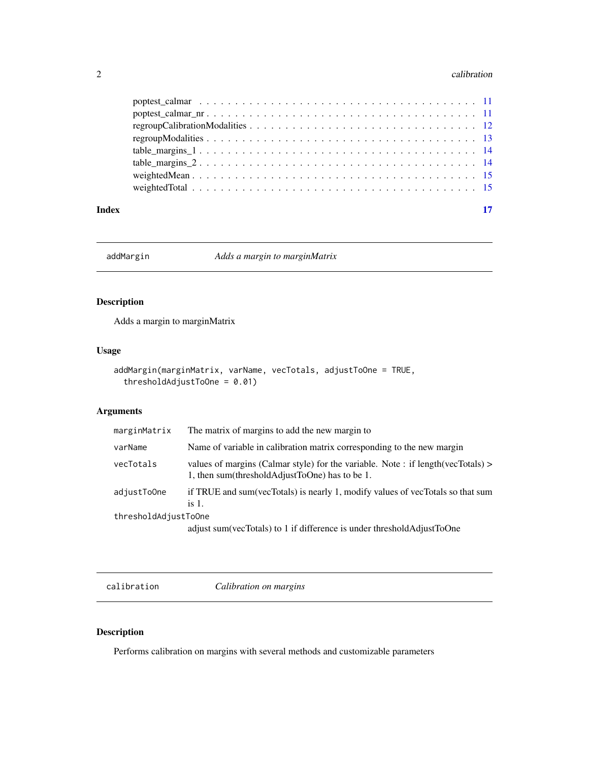#### <span id="page-1-0"></span> $2 \cos \theta$  calibration

| Index |  |
|-------|--|

addMargin *Adds a margin to marginMatrix*

# Description

Adds a margin to marginMatrix

# Usage

```
addMargin(marginMatrix, varName, vecTotals, adjustToOne = TRUE,
  thresholdAdjustToOne = 0.01)
```
# Arguments

| marginMatrix         | The matrix of margins to add the new margin to                                                                                        |
|----------------------|---------------------------------------------------------------------------------------------------------------------------------------|
| varName              | Name of variable in calibration matrix corresponding to the new margin                                                                |
| vecTotals            | values of margins (Calmar style) for the variable. Note : if length (vecTotals) $>$<br>1, then sum(thresholdAdjustToOne) has to be 1. |
| adjustToOne          | if TRUE and sum(vecTotals) is nearly 1, modify values of vecTotals so that sum<br>is $1$ .                                            |
| thresholdAdjustToOne |                                                                                                                                       |
|                      | adjust sum(vecTotals) to 1 if difference is under thresholdAdjustToOne                                                                |
|                      |                                                                                                                                       |

calibration *Calibration on margins*

# Description

Performs calibration on margins with several methods and customizable parameters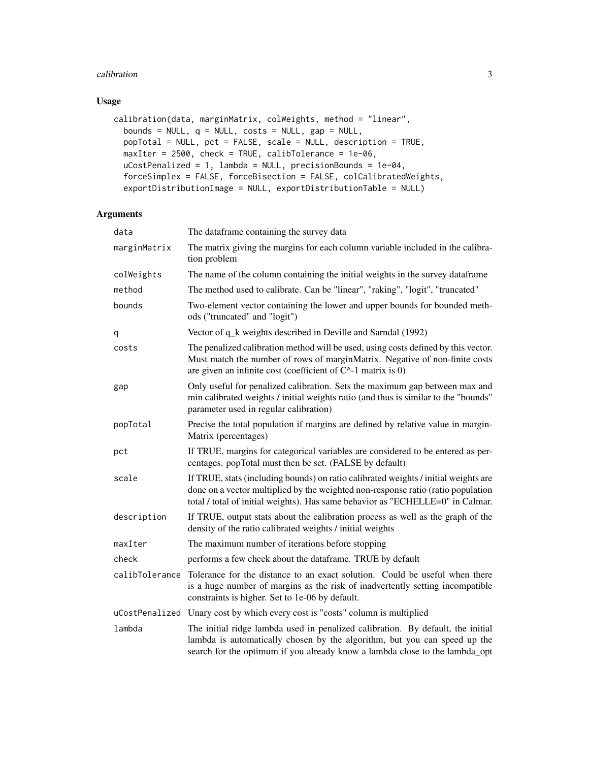#### calibration 3

# Usage

```
calibration(data, marginMatrix, colWeights, method = "linear",
 bounds = NULL, q = NULL, costs = NULL, gap = NULL,
 popTotal = NULL, pct = FALSE, scale = NULL, description = TRUE,
 maxIter = 2500, check = TRUE, calibTolerance = 1e-06,
 uCostPenalized = 1, lambda = NULL, precisionBounds = 1e-04,
  forceSimplex = FALSE, forceBisection = FALSE, colCalibratedWeights,
  exportDistributionImage = NULL, exportDistributionTable = NULL)
```
# Arguments

| data           | The dataframe containing the survey data                                                                                                                                                                                                                  |
|----------------|-----------------------------------------------------------------------------------------------------------------------------------------------------------------------------------------------------------------------------------------------------------|
| marginMatrix   | The matrix giving the margins for each column variable included in the calibra-<br>tion problem                                                                                                                                                           |
| colWeights     | The name of the column containing the initial weights in the survey dataframe                                                                                                                                                                             |
| method         | The method used to calibrate. Can be "linear", "raking", "logit", "truncated"                                                                                                                                                                             |
| bounds         | Two-element vector containing the lower and upper bounds for bounded meth-<br>ods ("truncated" and "logit")                                                                                                                                               |
| q              | Vector of q_k weights described in Deville and Sarndal (1992)                                                                                                                                                                                             |
| costs          | The penalized calibration method will be used, using costs defined by this vector.<br>Must match the number of rows of marginMatrix. Negative of non-finite costs<br>are given an infinite cost (coefficient of $C^{\wedge}$ -1 matrix is 0)              |
| gap            | Only useful for penalized calibration. Sets the maximum gap between max and<br>min calibrated weights / initial weights ratio (and thus is similar to the "bounds"<br>parameter used in regular calibration)                                              |
| popTotal       | Precise the total population if margins are defined by relative value in margin-<br>Matrix (percentages)                                                                                                                                                  |
| pct            | If TRUE, margins for categorical variables are considered to be entered as per-<br>centages. popTotal must then be set. (FALSE by default)                                                                                                                |
| scale          | If TRUE, stats (including bounds) on ratio calibrated weights / initial weights are<br>done on a vector multiplied by the weighted non-response ratio (ratio population<br>total / total of initial weights). Has same behavior as "ECHELLE=0" in Calmar. |
| description    | If TRUE, output stats about the calibration process as well as the graph of the<br>density of the ratio calibrated weights / initial weights                                                                                                              |
| maxIter        | The maximum number of iterations before stopping                                                                                                                                                                                                          |
| check          | performs a few check about the dataframe. TRUE by default                                                                                                                                                                                                 |
| calibTolerance | Tolerance for the distance to an exact solution. Could be useful when there<br>is a huge number of margins as the risk of inadvertently setting incompatible<br>constraints is higher. Set to 1e-06 by default.                                           |
|                | uCostPenalized Unary cost by which every cost is "costs" column is multiplied                                                                                                                                                                             |
| lambda         | The initial ridge lambda used in penalized calibration. By default, the initial<br>lambda is automatically chosen by the algorithm, but you can speed up the<br>search for the optimum if you already know a lambda close to the lambda_opt               |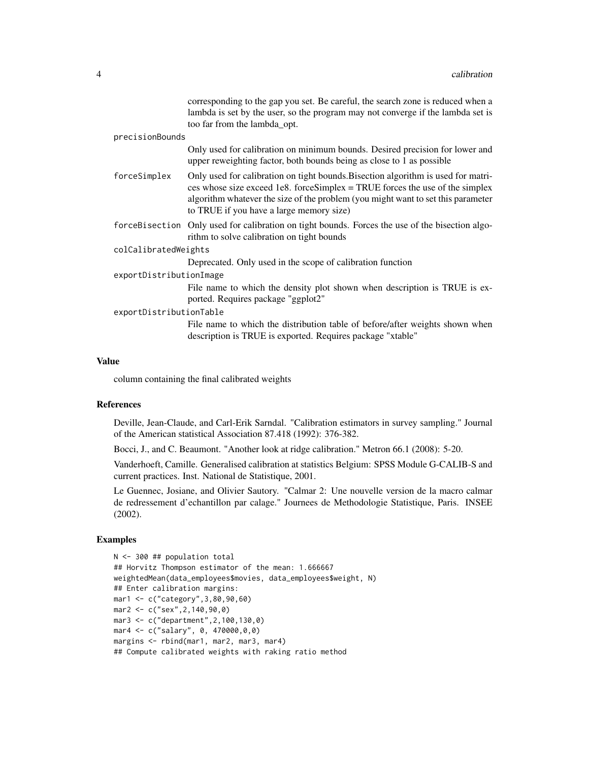|                         | corresponding to the gap you set. Be careful, the search zone is reduced when a<br>lambda is set by the user, so the program may not converge if the lambda set is<br>too far from the lambda_opt.                                                                                                 |
|-------------------------|----------------------------------------------------------------------------------------------------------------------------------------------------------------------------------------------------------------------------------------------------------------------------------------------------|
| precisionBounds         |                                                                                                                                                                                                                                                                                                    |
|                         | Only used for calibration on minimum bounds. Desired precision for lower and<br>upper reweighting factor, both bounds being as close to 1 as possible                                                                                                                                              |
| forceSimplex            | Only used for calibration on tight bounds. Bisection algorithm is used for matri-<br>ces whose size exceed 1e8. force Simplex = TRUE forces the use of the simplex<br>algorithm whatever the size of the problem (you might want to set this parameter<br>to TRUE if you have a large memory size) |
|                         | forceBisection Only used for calibration on tight bounds. Forces the use of the bisection algo-<br>rithm to solve calibration on tight bounds                                                                                                                                                      |
| colCalibratedWeights    |                                                                                                                                                                                                                                                                                                    |
|                         | Deprecated. Only used in the scope of calibration function                                                                                                                                                                                                                                         |
| exportDistributionImage |                                                                                                                                                                                                                                                                                                    |
|                         | File name to which the density plot shown when description is TRUE is ex-<br>ported. Requires package "ggplot2"                                                                                                                                                                                    |
| exportDistributionTable |                                                                                                                                                                                                                                                                                                    |
|                         | File name to which the distribution table of before/after weights shown when<br>description is TRUE is exported. Requires package "xtable"                                                                                                                                                         |

# Value

column containing the final calibrated weights

# References

Deville, Jean-Claude, and Carl-Erik Sarndal. "Calibration estimators in survey sampling." Journal of the American statistical Association 87.418 (1992): 376-382.

Bocci, J., and C. Beaumont. "Another look at ridge calibration." Metron 66.1 (2008): 5-20.

Vanderhoeft, Camille. Generalised calibration at statistics Belgium: SPSS Module G-CALIB-S and current practices. Inst. National de Statistique, 2001.

Le Guennec, Josiane, and Olivier Sautory. "Calmar 2: Une nouvelle version de la macro calmar de redressement d'echantillon par calage." Journees de Methodologie Statistique, Paris. INSEE (2002).

# Examples

```
N <- 300 ## population total
## Horvitz Thompson estimator of the mean: 1.666667
weightedMean(data_employees$movies, data_employees$weight, N)
## Enter calibration margins:
mar1 <- c("category",3,80,90,60)
mar2 <- c("sex",2,140,90,0)
mar3 <- c("department",2,100,130,0)
mar4 <- c("salary", 0, 470000,0,0)
margins <- rbind(mar1, mar2, mar3, mar4)
## Compute calibrated weights with raking ratio method
```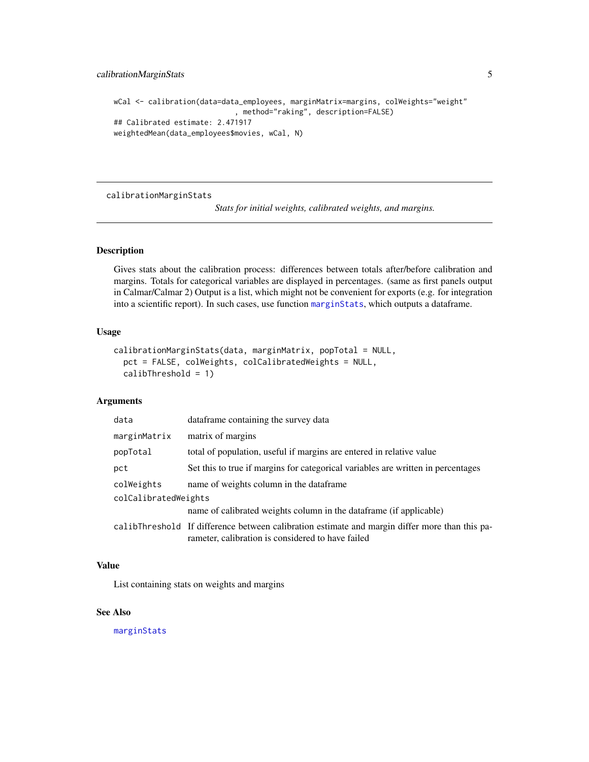```
wCal <- calibration(data=data_employees, marginMatrix=margins, colWeights="weight"
                            , method="raking", description=FALSE)
## Calibrated estimate: 2.471917
weightedMean(data_employees$movies, wCal, N)
```
<span id="page-4-1"></span>calibrationMarginStats

*Stats for initial weights, calibrated weights, and margins.*

#### Description

Gives stats about the calibration process: differences between totals after/before calibration and margins. Totals for categorical variables are displayed in percentages. (same as first panels output in Calmar/Calmar 2) Output is a list, which might not be convenient for exports (e.g. for integration into a scientific report). In such cases, use function [marginStats](#page-8-1), which outputs a dataframe.

#### Usage

```
calibrationMarginStats(data, marginMatrix, popTotal = NULL,
  pct = FALSE, colWeights, colCalibratedWeights = NULL,
  calibThreshold = 1)
```
## Arguments

| data                 | dataframe containing the survey data                                                                                                                |  |
|----------------------|-----------------------------------------------------------------------------------------------------------------------------------------------------|--|
| marginMatrix         | matrix of margins                                                                                                                                   |  |
| popTotal             | total of population, useful if margins are entered in relative value                                                                                |  |
| pct                  | Set this to true if margins for categorical variables are written in percentages                                                                    |  |
| colWeights           | name of weights column in the dataframe                                                                                                             |  |
| colCalibratedWeights |                                                                                                                                                     |  |
|                      | name of calibrated weights column in the dataframe (if applicable)                                                                                  |  |
|                      | calibThreshold If difference between calibration estimate and margin differ more than this pa-<br>rameter, calibration is considered to have failed |  |

# Value

List containing stats on weights and margins

#### See Also

[marginStats](#page-8-1)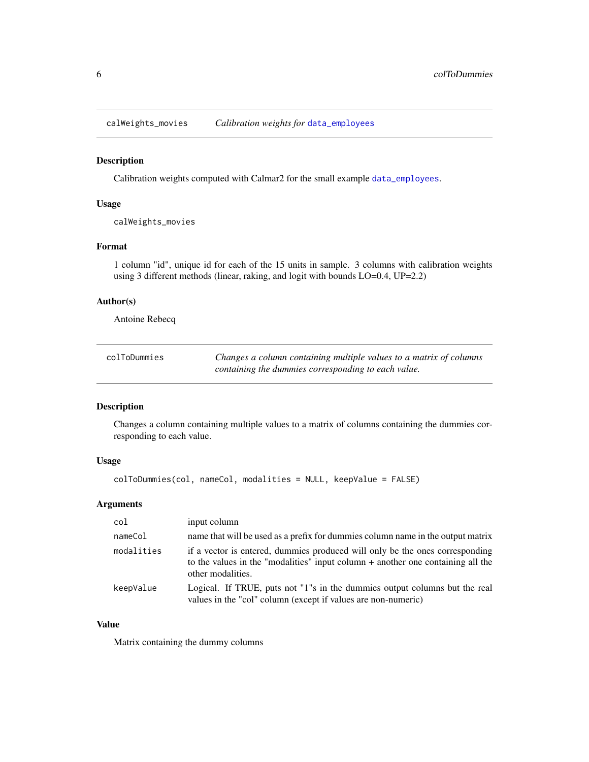<span id="page-5-0"></span>calWeights\_movies *Calibration weights for* [data\\_employees](#page-6-1)

# Description

Calibration weights computed with Calmar2 for the small example [data\\_employees](#page-6-1).

#### Usage

calWeights\_movies

#### Format

1 column "id", unique id for each of the 15 units in sample. 3 columns with calibration weights using 3 different methods (linear, raking, and logit with bounds LO=0.4, UP=2.2)

# Author(s)

Antoine Rebecq

| colToDummies | Changes a column containing multiple values to a matrix of columns |
|--------------|--------------------------------------------------------------------|
|              | containing the dummies corresponding to each value.                |

# Description

Changes a column containing multiple values to a matrix of columns containing the dummies corresponding to each value.

# Usage

colToDummies(col, nameCol, modalities = NULL, keepValue = FALSE)

# Arguments

| col        | input column                                                                                                                                                                           |
|------------|----------------------------------------------------------------------------------------------------------------------------------------------------------------------------------------|
| nameCol    | name that will be used as a prefix for dummies column name in the output matrix                                                                                                        |
| modalities | if a vector is entered, dummies produced will only be the ones corresponding<br>to the values in the "modalities" input column $+$ another one containing all the<br>other modalities. |
| keepValue  | Logical. If TRUE, puts not "1"s in the dummies output columns but the real<br>values in the "col" column (except if values are non-numeric)                                            |

# Value

Matrix containing the dummy columns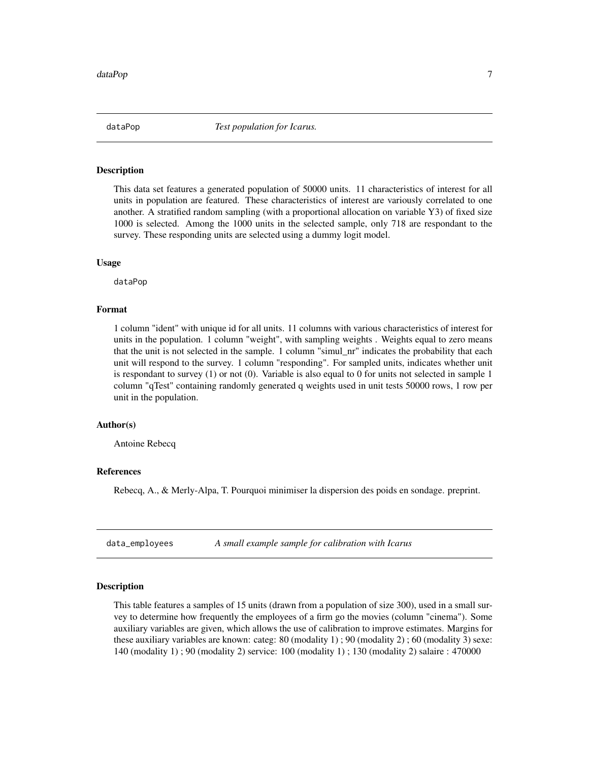<span id="page-6-2"></span><span id="page-6-0"></span>

# Description

This data set features a generated population of 50000 units. 11 characteristics of interest for all units in population are featured. These characteristics of interest are variously correlated to one another. A stratified random sampling (with a proportional allocation on variable Y3) of fixed size 1000 is selected. Among the 1000 units in the selected sample, only 718 are respondant to the survey. These responding units are selected using a dummy logit model.

#### Usage

dataPop

#### Format

1 column "ident" with unique id for all units. 11 columns with various characteristics of interest for units in the population. 1 column "weight", with sampling weights . Weights equal to zero means that the unit is not selected in the sample. 1 column "simul\_nr" indicates the probability that each unit will respond to the survey. 1 column "responding". For sampled units, indicates whether unit is respondant to survey (1) or not (0). Variable is also equal to 0 for units not selected in sample 1 column "qTest" containing randomly generated q weights used in unit tests 50000 rows, 1 row per unit in the population.

## Author(s)

Antoine Rebecq

#### References

Rebecq, A., & Merly-Alpa, T. Pourquoi minimiser la dispersion des poids en sondage. preprint.

<span id="page-6-1"></span>data\_employees *A small example sample for calibration with Icarus*

#### Description

This table features a samples of 15 units (drawn from a population of size 300), used in a small survey to determine how frequently the employees of a firm go the movies (column "cinema"). Some auxiliary variables are given, which allows the use of calibration to improve estimates. Margins for these auxiliary variables are known: categ: 80 (modality 1) ; 90 (modality 2) ; 60 (modality 3) sexe: 140 (modality 1) ; 90 (modality 2) service: 100 (modality 1) ; 130 (modality 2) salaire : 470000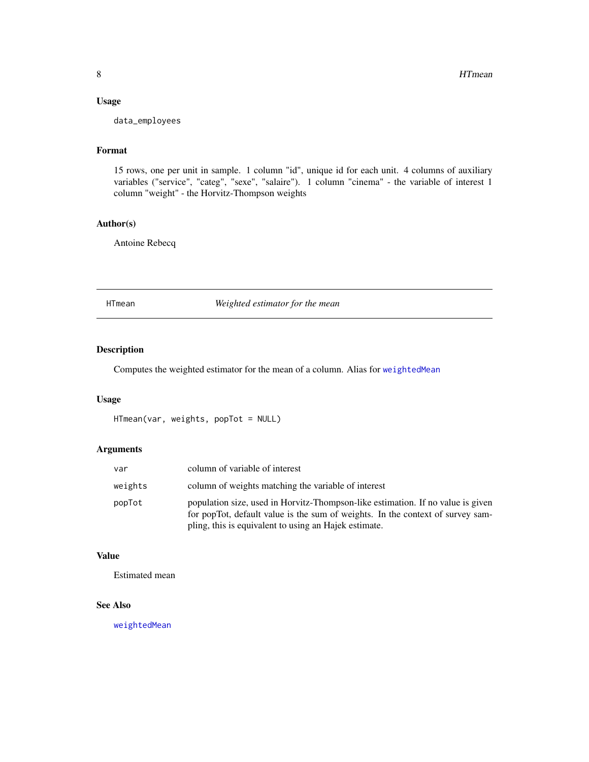# <span id="page-7-0"></span>Usage

data\_employees

# Format

15 rows, one per unit in sample. 1 column "id", unique id for each unit. 4 columns of auxiliary variables ("service", "categ", "sexe", "salaire"). 1 column "cinema" - the variable of interest 1 column "weight" - the Horvitz-Thompson weights

# Author(s)

Antoine Rebecq

<span id="page-7-1"></span>HTmean *Weighted estimator for the mean*

# Description

Computes the weighted estimator for the mean of a column. Alias for [weightedMean](#page-14-1)

#### Usage

```
HTmean(var, weights, popTot = NULL)
```
# Arguments

| var     | column of variable of interest                                                                                                                                                                                             |
|---------|----------------------------------------------------------------------------------------------------------------------------------------------------------------------------------------------------------------------------|
| weights | column of weights matching the variable of interest                                                                                                                                                                        |
| popTot  | population size, used in Horvitz-Thompson-like estimation. If no value is given<br>for popTot, default value is the sum of weights. In the context of survey sam-<br>pling, this is equivalent to using an Hajek estimate. |

# Value

Estimated mean

# See Also

[weightedMean](#page-14-1)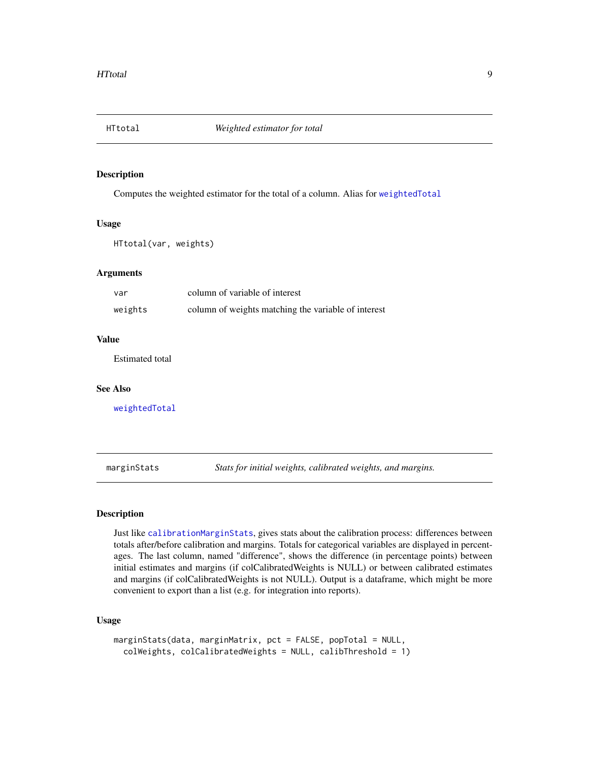<span id="page-8-2"></span><span id="page-8-0"></span>

# Description

Computes the weighted estimator for the total of a column. Alias for [weightedTotal](#page-14-2)

#### Usage

HTtotal(var, weights)

# Arguments

| var     | column of variable of interest                      |
|---------|-----------------------------------------------------|
| weights | column of weights matching the variable of interest |

# Value

Estimated total

#### See Also

[weightedTotal](#page-14-2)

<span id="page-8-1"></span>marginStats *Stats for initial weights, calibrated weights, and margins.*

# Description

Just like [calibrationMarginStats](#page-4-1), gives stats about the calibration process: differences between totals after/before calibration and margins. Totals for categorical variables are displayed in percentages. The last column, named "difference", shows the difference (in percentage points) between initial estimates and margins (if colCalibratedWeights is NULL) or between calibrated estimates and margins (if colCalibratedWeights is not NULL). Output is a dataframe, which might be more convenient to export than a list (e.g. for integration into reports).

# Usage

```
marginStats(data, marginMatrix, pct = FALSE, popTotal = NULL,
 colWeights, colCalibratedWeights = NULL, calibThreshold = 1)
```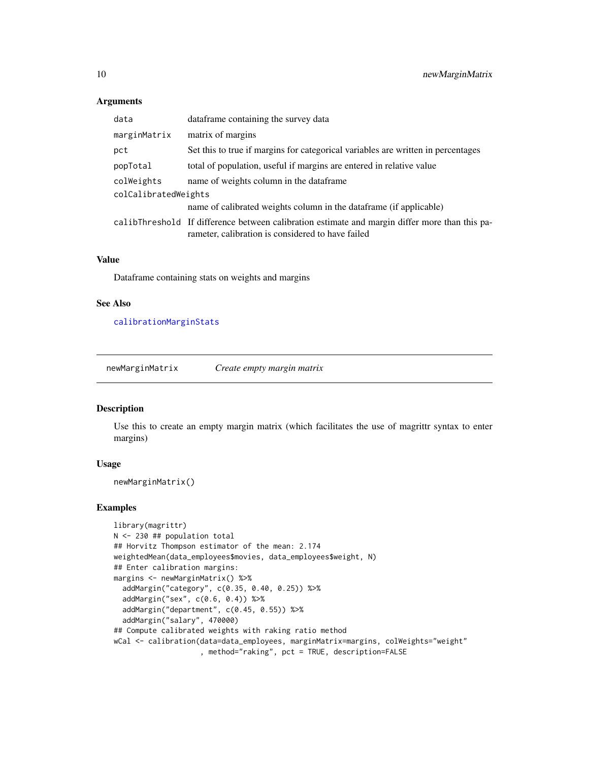# Arguments

| data                 | data frame containing the survey data                                                                                                               |  |
|----------------------|-----------------------------------------------------------------------------------------------------------------------------------------------------|--|
| marginMatrix         | matrix of margins                                                                                                                                   |  |
| pct                  | Set this to true if margins for categorical variables are written in percentages                                                                    |  |
| popTotal             | total of population, useful if margins are entered in relative value                                                                                |  |
| colWeights           | name of weights column in the dataframe                                                                                                             |  |
| colCalibratedWeights |                                                                                                                                                     |  |
|                      | name of calibrated weights column in the dataframe (if applicable)                                                                                  |  |
|                      | calibThreshold If difference between calibration estimate and margin differ more than this pa-<br>rameter, calibration is considered to have failed |  |

# Value

Dataframe containing stats on weights and margins

# See Also

[calibrationMarginStats](#page-4-1)

newMarginMatrix *Create empty margin matrix*

# Description

Use this to create an empty margin matrix (which facilitates the use of magrittr syntax to enter margins)

# Usage

```
newMarginMatrix()
```
#### Examples

```
library(magrittr)
N <- 230 ## population total
## Horvitz Thompson estimator of the mean: 2.174
weightedMean(data_employees$movies, data_employees$weight, N)
## Enter calibration margins:
margins <- newMarginMatrix() %>%
  addMargin("category", c(0.35, 0.40, 0.25)) %>%
  addMargin("sex", c(0.6, 0.4)) %>%
  addMargin("department", c(0.45, 0.55)) %>%
  addMargin("salary", 470000)
## Compute calibrated weights with raking ratio method
wCal <- calibration(data=data_employees, marginMatrix=margins, colWeights="weight"
                    , method="raking", pct = TRUE, description=FALSE
```
<span id="page-9-0"></span>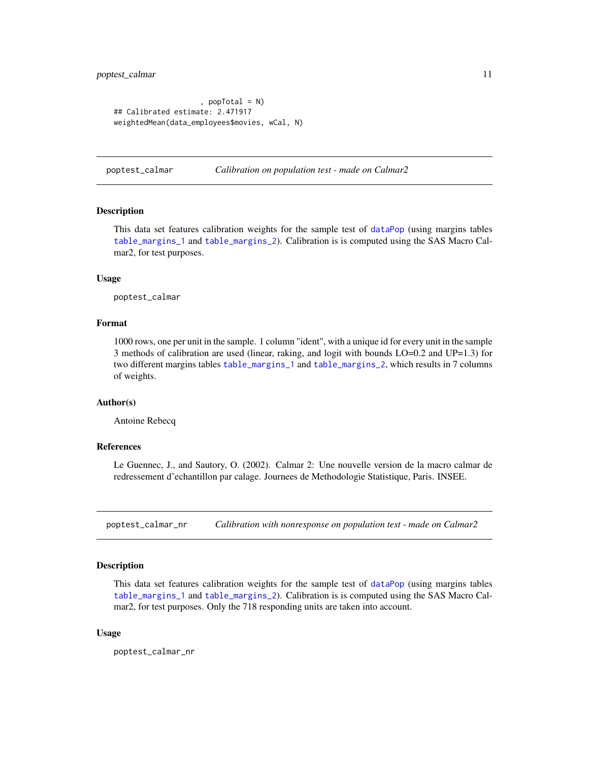#### <span id="page-10-0"></span>poptest\_calmar 11

```
, popTotal = N)
## Calibrated estimate: 2.471917
weightedMean(data_employees$movies, wCal, N)
```
poptest\_calmar *Calibration on population test - made on Calmar2*

# Description

This data set features calibration weights for the sample test of [dataPop](#page-6-2) (using margins tables [table\\_margins\\_1](#page-13-1) and [table\\_margins\\_2](#page-13-2)). Calibration is is computed using the SAS Macro Calmar2, for test purposes.

# Usage

poptest\_calmar

# Format

1000 rows, one per unit in the sample. 1 column "ident", with a unique id for every unit in the sample 3 methods of calibration are used (linear, raking, and logit with bounds LO=0.2 and UP=1.3) for two different margins tables [table\\_margins\\_1](#page-13-1) and [table\\_margins\\_2](#page-13-2), which results in 7 columns of weights.

#### Author(s)

Antoine Rebecq

#### References

Le Guennec, J., and Sautory, O. (2002). Calmar 2: Une nouvelle version de la macro calmar de redressement d'echantillon par calage. Journees de Methodologie Statistique, Paris. INSEE.

poptest\_calmar\_nr *Calibration with nonresponse on population test - made on Calmar2*

#### Description

This data set features calibration weights for the sample test of [dataPop](#page-6-2) (using margins tables [table\\_margins\\_1](#page-13-1) and [table\\_margins\\_2](#page-13-2)). Calibration is is computed using the SAS Macro Calmar2, for test purposes. Only the 718 responding units are taken into account.

#### Usage

poptest\_calmar\_nr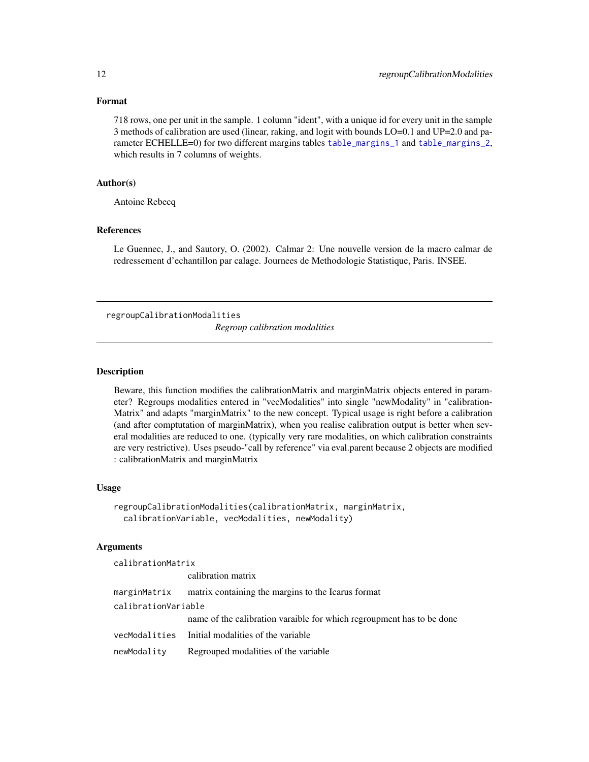# Format

718 rows, one per unit in the sample. 1 column "ident", with a unique id for every unit in the sample 3 methods of calibration are used (linear, raking, and logit with bounds LO=0.1 and UP=2.0 and parameter ECHELLE=0) for two different margins tables [table\\_margins\\_1](#page-13-1) and [table\\_margins\\_2](#page-13-2), which results in 7 columns of weights.

# Author(s)

Antoine Rebecq

# References

Le Guennec, J., and Sautory, O. (2002). Calmar 2: Une nouvelle version de la macro calmar de redressement d'echantillon par calage. Journees de Methodologie Statistique, Paris. INSEE.

regroupCalibrationModalities

*Regroup calibration modalities*

# **Description**

Beware, this function modifies the calibrationMatrix and marginMatrix objects entered in parameter? Regroups modalities entered in "vecModalities" into single "newModality" in "calibration-Matrix" and adapts "marginMatrix" to the new concept. Typical usage is right before a calibration (and after comptutation of marginMatrix), when you realise calibration output is better when several modalities are reduced to one. (typically very rare modalities, on which calibration constraints are very restrictive). Uses pseudo-"call by reference" via eval.parent because 2 objects are modified : calibrationMatrix and marginMatrix

#### Usage

```
regroupCalibrationModalities(calibrationMatrix, marginMatrix,
 calibrationVariable, vecModalities, newModality)
```
#### Arguments

calibrationMatrix

|                     | calibration matrix                                                    |
|---------------------|-----------------------------------------------------------------------|
|                     | marginMatrix matrix containing the margins to the Icarus format       |
| calibrationVariable |                                                                       |
|                     | name of the calibration varaible for which regroupment has to be done |
|                     | vecModalities Initial modalities of the variable                      |
| newModality         | Regrouped modalities of the variable                                  |

<span id="page-11-0"></span>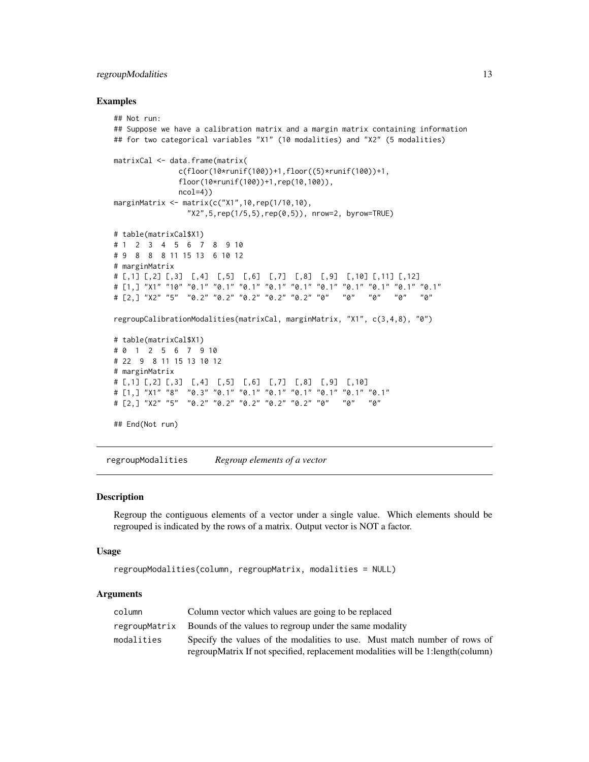# <span id="page-12-0"></span>regroupModalities 13

#### Examples

```
## Not run:
## Suppose we have a calibration matrix and a margin matrix containing information
## for two categorical variables "X1" (10 modalities) and "X2" (5 modalities)
matrixCal <- data.frame(matrix(
              c(floor(10*runif(100))+1,floor((5)*runif(100))+1,
              floor(10*runif(100))+1,rep(10,100)),
              ncol=4))
marginMatrix <- matrix(c("X1",10,rep(1/10,10),
                "X2",5,rep(1/5,5),rep(0,5)), nrow=2, byrow=TRUE)
# table(matrixCal$X1)
# 1 2 3 4 5 6 7 8 9 10
# 9 8 8 8 11 15 13 6 10 12
# marginMatrix
# [,1] [,2] [,3] [,4] [,5] [,6] [,7] [,8] [,9] [,10] [,11] [,12]
# [1,] "X1" "10" "0.1" "0.1" "0.1" "0.1" "0.1" "0.1" "0.1" "0.1" "0.1" "0.1"
# [2,] "X2" "5" "0.2" "0.2" "0.2" "0.2" "0.2" "0" "0" "0" "0" "0"
regroupCalibrationModalities(matrixCal, marginMatrix, "X1", c(3,4,8), "0")
# table(matrixCal$X1)
# 0 1 2 5 6 7 9 10
# 22 9 8 11 15 13 10 12
# marginMatrix
# [,1] [,2] [,3] [,4] [,5] [,6] [,7] [,8] [,9] [,10]
# [1,] "X1" "8" "0.3" "0.1" "0.1" "0.1" "0.1" "0.1" "0.1" "0.1"
# [2,] "X2" "5" "0.2" "0.2" "0.2" "0.2" "0.2" "0" "0" "0"
## End(Not run)
```
regroupModalities *Regroup elements of a vector*

## Description

Regroup the contiguous elements of a vector under a single value. Which elements should be regrouped is indicated by the rows of a matrix. Output vector is NOT a factor.

#### Usage

```
regroupModalities(column, regroupMatrix, modalities = NULL)
```
#### Arguments

| column     | Column vector which values are going to be replaced                             |  |
|------------|---------------------------------------------------------------------------------|--|
|            | regroupMatrix Bounds of the values to regroup under the same modality           |  |
| modalities | Specify the values of the modalities to use. Must match number of rows of       |  |
|            | regroupMatrix If not specified, replacement modalities will be 1:length(column) |  |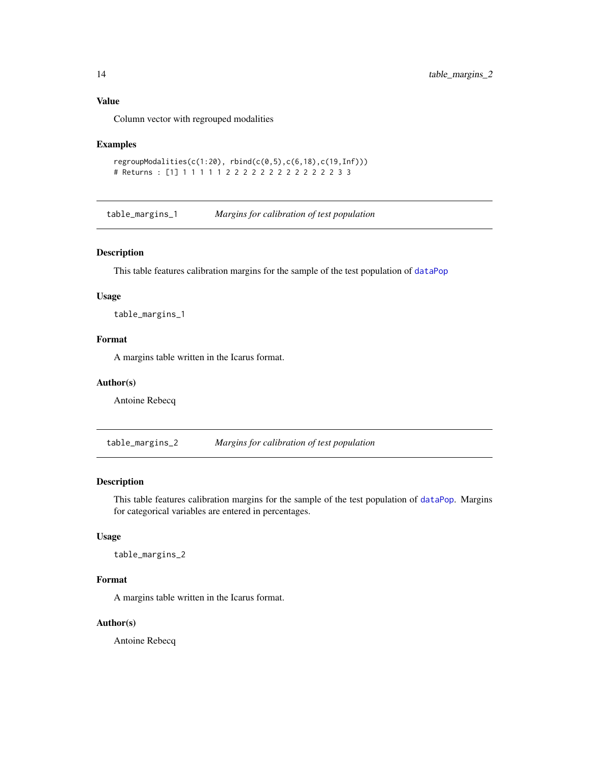#### <span id="page-13-0"></span>Value

Column vector with regrouped modalities

#### Examples

```
regroupModalities(c(1:20),rbind(c(0,5),c(6,18),c(19,Inf)))# Returns : [1] 1 1 1 1 1 2 2 2 2 2 2 2 2 2 2 2 2 2 3 3
```
<span id="page-13-1"></span>table\_margins\_1 *Margins for calibration of test population*

# Description

This table features calibration margins for the sample of the test population of [dataPop](#page-6-2)

# Usage

table\_margins\_1

#### Format

A margins table written in the Icarus format.

#### Author(s)

Antoine Rebecq

<span id="page-13-2"></span>table\_margins\_2 *Margins for calibration of test population*

# Description

This table features calibration margins for the sample of the test population of [dataPop](#page-6-2). Margins for categorical variables are entered in percentages.

# Usage

table\_margins\_2

# Format

A margins table written in the Icarus format.

#### Author(s)

Antoine Rebecq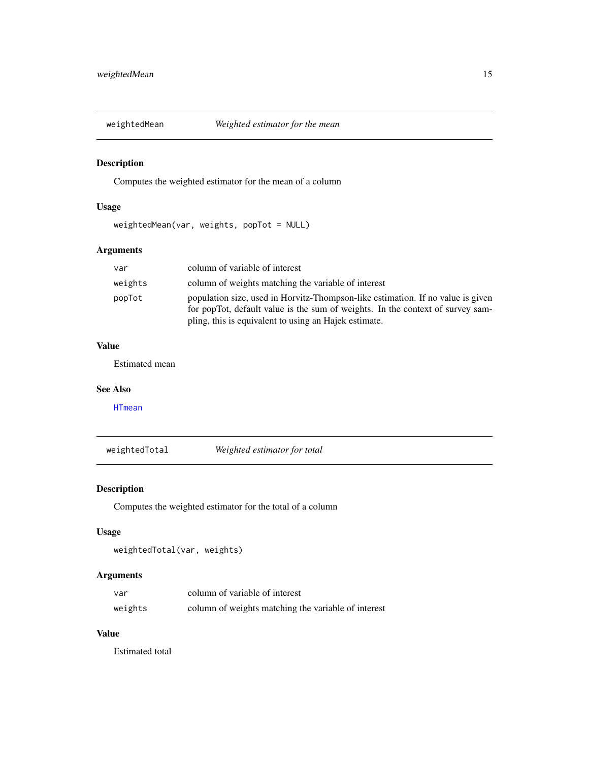<span id="page-14-1"></span><span id="page-14-0"></span>

# Description

Computes the weighted estimator for the mean of a column

# Usage

weightedMean(var, weights, popTot = NULL)

# Arguments

| var     | column of variable of interest                                                                                                                                                                                             |
|---------|----------------------------------------------------------------------------------------------------------------------------------------------------------------------------------------------------------------------------|
| weights | column of weights matching the variable of interest                                                                                                                                                                        |
| popTot  | population size, used in Horvitz-Thompson-like estimation. If no value is given<br>for popTot, default value is the sum of weights. In the context of survey sam-<br>pling, this is equivalent to using an Hajek estimate. |

# Value

Estimated mean

#### See Also

[HTmean](#page-7-1)

<span id="page-14-2"></span>weightedTotal *Weighted estimator for total*

# Description

Computes the weighted estimator for the total of a column

# Usage

```
weightedTotal(var, weights)
```
# Arguments

| var     | column of variable of interest                      |
|---------|-----------------------------------------------------|
| weights | column of weights matching the variable of interest |

# Value

Estimated total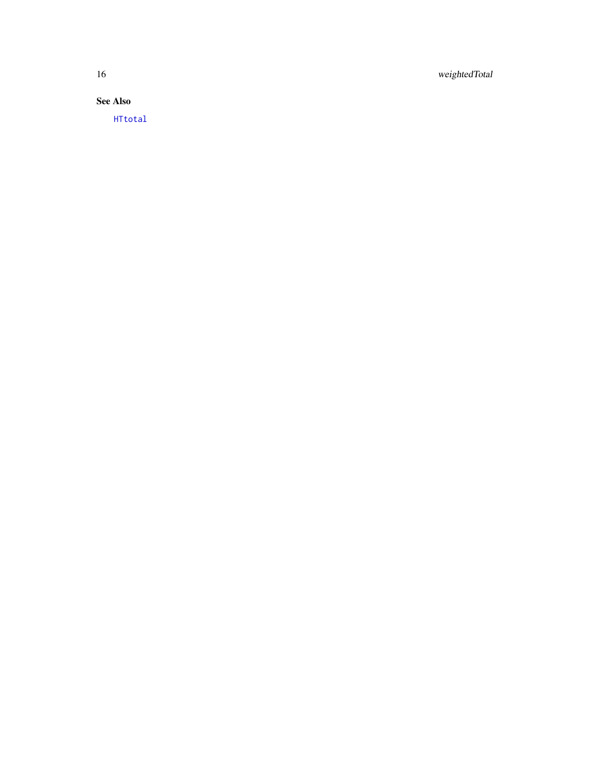<span id="page-15-0"></span>16 weightedTotal

See Also

[HTtotal](#page-8-2)